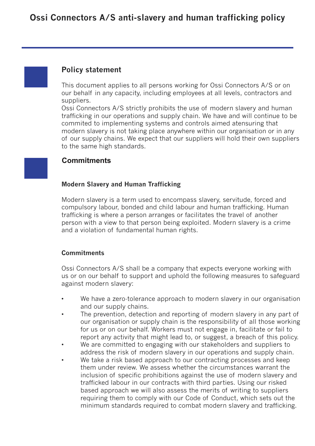# **Policy statement**

This document applies to all persons working for Ossi Connectors A/S or on our behalf in any capacity, including employees at all levels, contractors and suppliers.

Ossi Connectors A/S strictly prohibits the use of modern slavery and human trafficking in our operations and supply chain. We have and will continue to be commited to implementing systems and controls aimed atensuring that modern slavery is not taking place anywhere within our organisation or in any of our supply chains. We expect that our suppliers will hold their own suppliers to the same high standards.

## **Commitments**

#### **Modern Slavery and Human Trafficking**

Modern slavery is a term used to encompass slavery, servitude, forced and compulsory labour, bonded and child labour and human trafficking. Human trafficking is where a person arranges or facilitates the travel of another person with a view to that person being exploited. Modern slavery is a crime and a violation of fundamental human rights.

### **Commitments**

Ossi Connectors A/S shall be a company that expects everyone working with us or on our behalf to support and uphold the following measures to safeguard against modern slavery:

- We have a zero-tolerance approach to modern slavery in our organisation and our supply chains.
- The prevention, detection and reporting of modern slavery in any part of our organisation or supply chain is the responsibility of all those working for us or on our behalf. Workers must not engage in, facilitate or fail to report any activity that might lead to, or suggest, a breach of this policy.
- We are committed to engaging with our stakeholders and suppliers to address the risk of modern slavery in our operations and supply chain.
- We take a risk based approach to our contracting processes and keep them under review. We assess whether the circumstances warrant the inclusion of specific prohibitions against the use of modern slavery and trafficked labour in our contracts with third parties. Using our risked based approach we will also assess the merits of writing to suppliers requiring them to comply with our Code of Conduct, which sets out the minimum standards required to combat modern slavery and trafficking.